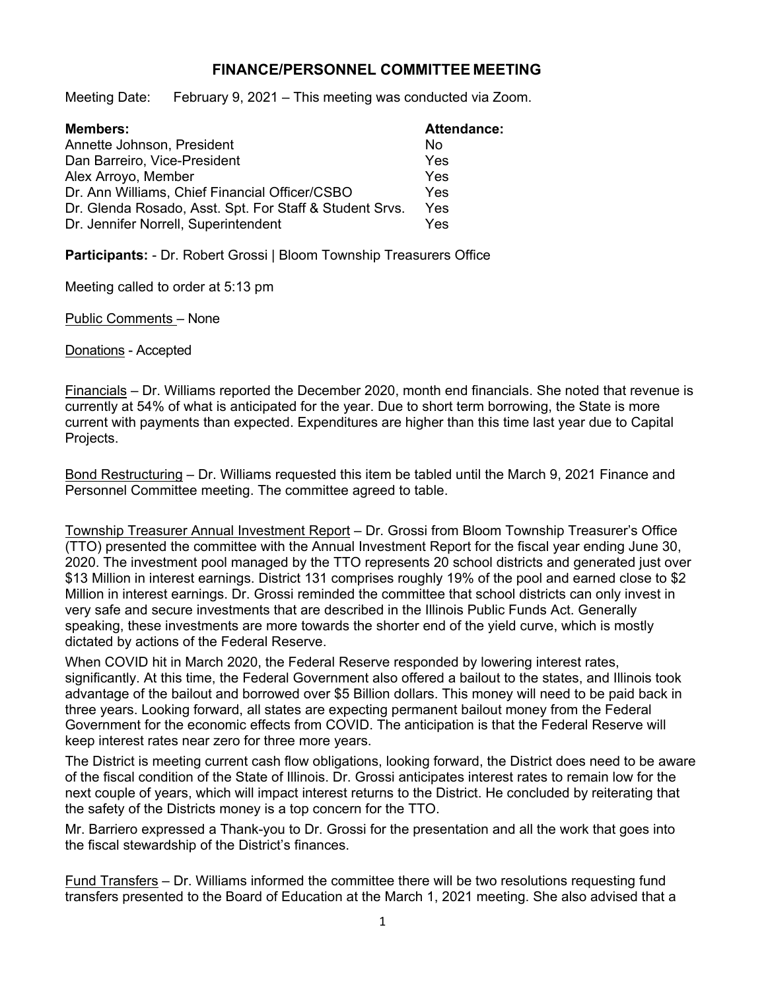## **FINANCE/PERSONNEL COMMITTEE MEETING**

Meeting Date: February 9, 2021 – This meeting was conducted via Zoom.

| <b>Members:</b>                                         | <b>Attendance:</b> |
|---------------------------------------------------------|--------------------|
| Annette Johnson, President                              | No                 |
| Dan Barreiro, Vice-President                            | Yes                |
| Alex Arroyo, Member                                     | Yes                |
| Dr. Ann Williams, Chief Financial Officer/CSBO          | Yes                |
| Dr. Glenda Rosado, Asst. Spt. For Staff & Student Srvs. | Yes                |
| Dr. Jennifer Norrell, Superintendent                    | Yes                |

**Participants:** - Dr. Robert Grossi | Bloom Township Treasurers Office

Meeting called to order at 5:13 pm

Public Comments – None

Donations - Accepted

Financials – Dr. Williams reported the December 2020, month end financials. She noted that revenue is currently at 54% of what is anticipated for the year. Due to short term borrowing, the State is more current with payments than expected. Expenditures are higher than this time last year due to Capital Projects.

Bond Restructuring – Dr. Williams requested this item be tabled until the March 9, 2021 Finance and Personnel Committee meeting. The committee agreed to table.

Township Treasurer Annual Investment Report – Dr. Grossi from Bloom Township Treasurer's Office (TTO) presented the committee with the Annual Investment Report for the fiscal year ending June 30, 2020. The investment pool managed by the TTO represents 20 school districts and generated just over \$13 Million in interest earnings. District 131 comprises roughly 19% of the pool and earned close to \$2 Million in interest earnings. Dr. Grossi reminded the committee that school districts can only invest in very safe and secure investments that are described in the Illinois Public Funds Act. Generally speaking, these investments are more towards the shorter end of the yield curve, which is mostly dictated by actions of the Federal Reserve.

When COVID hit in March 2020, the Federal Reserve responded by lowering interest rates, significantly. At this time, the Federal Government also offered a bailout to the states, and Illinois took advantage of the bailout and borrowed over \$5 Billion dollars. This money will need to be paid back in three years. Looking forward, all states are expecting permanent bailout money from the Federal Government for the economic effects from COVID. The anticipation is that the Federal Reserve will keep interest rates near zero for three more years.

The District is meeting current cash flow obligations, looking forward, the District does need to be aware of the fiscal condition of the State of Illinois. Dr. Grossi anticipates interest rates to remain low for the next couple of years, which will impact interest returns to the District. He concluded by reiterating that the safety of the Districts money is a top concern for the TTO.

Mr. Barriero expressed a Thank-you to Dr. Grossi for the presentation and all the work that goes into the fiscal stewardship of the District's finances.

Fund Transfers – Dr. Williams informed the committee there will be two resolutions requesting fund transfers presented to the Board of Education at the March 1, 2021 meeting. She also advised that a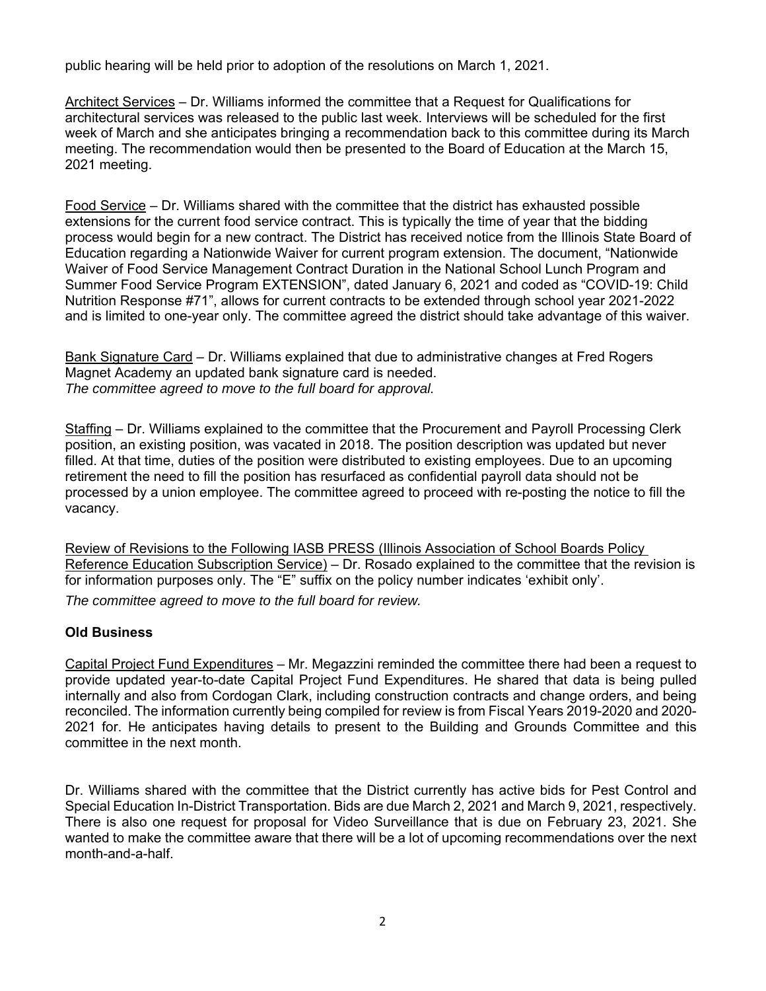public hearing will be held prior to adoption of the resolutions on March 1, 2021.

Architect Services – Dr. Williams informed the committee that a Request for Qualifications for architectural services was released to the public last week. Interviews will be scheduled for the first week of March and she anticipates bringing a recommendation back to this committee during its March meeting. The recommendation would then be presented to the Board of Education at the March 15, 2021 meeting.

Food Service – Dr. Williams shared with the committee that the district has exhausted possible extensions for the current food service contract. This is typically the time of year that the bidding process would begin for a new contract. The District has received notice from the Illinois State Board of Education regarding a Nationwide Waiver for current program extension. The document, "Nationwide Waiver of Food Service Management Contract Duration in the National School Lunch Program and Summer Food Service Program EXTENSION", dated January 6, 2021 and coded as "COVID-19: Child Nutrition Response #71", allows for current contracts to be extended through school year 2021-2022 and is limited to one-year only. The committee agreed the district should take advantage of this waiver.

Bank Signature Card – Dr. Williams explained that due to administrative changes at Fred Rogers Magnet Academy an updated bank signature card is needed. *The committee agreed to move to the full board for approval.*

Staffing – Dr. Williams explained to the committee that the Procurement and Payroll Processing Clerk position, an existing position, was vacated in 2018. The position description was updated but never filled. At that time, duties of the position were distributed to existing employees. Due to an upcoming retirement the need to fill the position has resurfaced as confidential payroll data should not be processed by a union employee. The committee agreed to proceed with re-posting the notice to fill the vacancy.

Review of Revisions to the Following IASB PRESS (Illinois Association of School Boards Policy Reference Education Subscription Service) – Dr. Rosado explained to the committee that the revision is for information purposes only. The "E" suffix on the policy number indicates 'exhibit only'. *The committee agreed to move to the full board for review.* 

## **Old Business**

Capital Project Fund Expenditures – Mr. Megazzini reminded the committee there had been a request to provide updated year-to-date Capital Project Fund Expenditures. He shared that data is being pulled internally and also from Cordogan Clark, including construction contracts and change orders, and being reconciled. The information currently being compiled for review is from Fiscal Years 2019-2020 and 2020- 2021 for. He anticipates having details to present to the Building and Grounds Committee and this committee in the next month.

Dr. Williams shared with the committee that the District currently has active bids for Pest Control and Special Education In-District Transportation. Bids are due March 2, 2021 and March 9, 2021, respectively. There is also one request for proposal for Video Surveillance that is due on February 23, 2021. She wanted to make the committee aware that there will be a lot of upcoming recommendations over the next month-and-a-half.